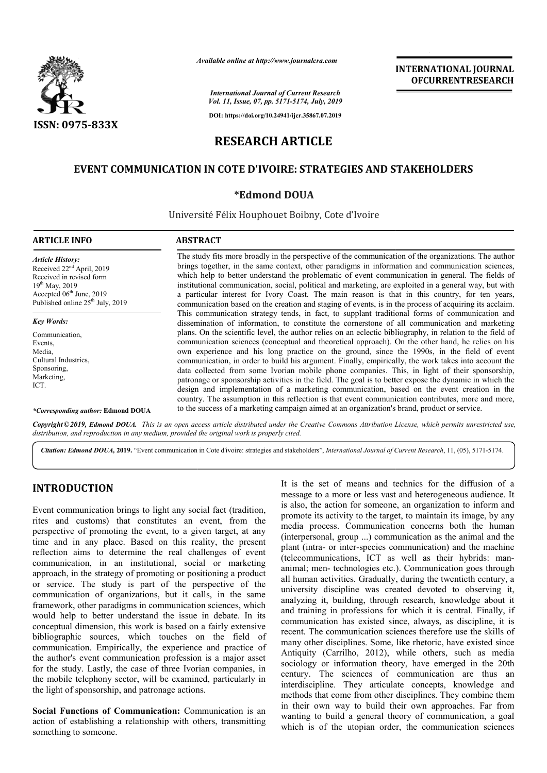

*Available online at http://www.journalcra.com*

## **INTERNATIONAL JOURNAL OFCURRENTRESEARCH**

*International Journal of Current Research Vol. 11, Issue, 07, pp. 5171-5174, July, 2019*

**DOI: https://doi.org/10.24941/ijcr.35867.07.2019**

# **RESEARCH ARTICLE**

## **EVENT COMMUNICATION IN COTE D'IVOIRE: STRATEGIES AND STAKEHOLDERS COTE D'IVOIRE:**

### **\*Edmond DOUA**

Université Félix Houphouet Boibny, Cote d'Ivoire

| <b>ARTICLE INFO</b>                                                                                                                                                                               | <b>ABSTRACT</b>                                                                                                                                                                                                                                                                                                                                                                                                                                                                                                                                                                                                                                                                                                                                                                                                                       |
|---------------------------------------------------------------------------------------------------------------------------------------------------------------------------------------------------|---------------------------------------------------------------------------------------------------------------------------------------------------------------------------------------------------------------------------------------------------------------------------------------------------------------------------------------------------------------------------------------------------------------------------------------------------------------------------------------------------------------------------------------------------------------------------------------------------------------------------------------------------------------------------------------------------------------------------------------------------------------------------------------------------------------------------------------|
| <b>Article History:</b><br>Received 22 <sup>nd</sup> April, 2019<br>Received in revised form<br>$19^{th}$ May, 2019<br>Accepted $06th$ June, 2019<br>Published online 25 <sup>th</sup> July, 2019 | The study fits more broadly in the perspective of the communication of the organizations. The author<br>brings together, in the same context, other paradigms in information and communication sciences,<br>which help to better understand the problematic of event communication in general. The fields of<br>institutional communication, social, political and marketing, are exploited in a general way, but with<br>a particular interest for Ivory Coast. The main reason is that in this country, for ten years,<br>communication based on the creation and staging of events, is in the process of acquiring its acclaim.                                                                                                                                                                                                    |
| <b>Key Words:</b>                                                                                                                                                                                 | This communication strategy tends, in fact, to supplant traditional forms of communication and<br>dissemination of information, to constitute the cornerstone of all communication and marketing                                                                                                                                                                                                                                                                                                                                                                                                                                                                                                                                                                                                                                      |
| Communication,<br>Events.<br>Media,<br>Cultural Industries.<br>Sponsoring,<br>Marketing,<br>ICT.                                                                                                  | plans. On the scientific level, the author relies on an eclectic bibliography, in relation to the field of<br>communication sciences (conceptual and theoretical approach). On the other hand, he relies on his<br>own experience and his long practice on the ground, since the 1990s, in the field of event<br>communication, in order to build his argument. Finally, empirically, the work takes into account the<br>data collected from some Ivorian mobile phone companies. This, in light of their sponsorship,<br>patronage or sponsorship activities in the field. The goal is to better expose the dynamic in which the<br>design and implementation of a marketing communication, based on the event creation in the<br>country. The assumption in this reflection is that event communication contributes, more and more, |
| *Corresponding author: Edmond DOUA                                                                                                                                                                | to the success of a marketing campaign aimed at an organization's brand, product or service.                                                                                                                                                                                                                                                                                                                                                                                                                                                                                                                                                                                                                                                                                                                                          |

Copyright © 2019, Edmond DOUA. This is an open access article distributed under the Creative Commons Attribution License, which permits unrestricted use, *distribution, and reproduction in any medium, provided the original work is properly cited.*

Citation: Edmond DOUA, 2019. "Event communication in Cote d'ivoire: strategies and stakeholders", International Journal of Current Research, 11, (05), 5171-5174.

### **INTRODUCTION**

Event communication brings to light any social fact (tradition, rites and customs) that constitutes an event, from the perspective of promoting the event, to a given target, at any time and in any place. Based on this reality, the present reflection aims to determine the real challenges of event communication, in an institutional, social or marketing approach, in the strategy of promoting or positioning a product or service. The study is part of the perspective of the communication of organizations, but it calls, in the same framework, other paradigms in communication sciences, which would help to better understand the issue in debate. In its conceptual dimension, this work is based on a fairly extensive bibliographic sources, which touches on the field of communication. Empirically, the experience and practice of the author's event communication profession is a major asset for the study. Lastly, the case of three Ivorian companies, in the mobile telephony sector, will be examined, particularly in the light of sponsorship, and patronage actions. ch, in the strategy of promoting or positioning a product<br>vice. The study is part of the perspective of the<br>inication of organizations, but it calls, in the same<br>work, other paradigms in communication sciences, which<br>help

**Social Functions of Communication:** Communication is an action of establishing a relationship with others, transmitting something to someone.

It is the set of means and technics for the diffusion of a message to a more or less vast and heterogeneous audience. It is also, the action for someone, an organization to inform and promote its activity to the target, to maintain its image, by any media process. Communication concerns both the human (interpersonal, group ...) communication as the animal and the plant (intra- or inter-species communication) and the machine (telecommunications, ICT as well as their hybrids: man animal; men- technologies etc.). Communication goes through all human activities. Gradually, during the twentieth century, a university discipline was created devoted to observing it, analyzing it, building, through research, knowledge about it and training in professions for which it is central. Finally, if communication has existed since, always, as discipline, it is recent. The communication sciences therefore use the skills of many other disciplines. Some, like rhetoric, have existed since Antiquity (Carrilho, 2012), while others, such as media sociology or information theory, have emerged in the 20th century. The sciences of communication are thus an interdiscipline. They articulate concepts, knowledge and methods that come from other disciplines. They combine them in their own way to build their own approaches. Far from wanting to build a general theory of communication, a goal which is of the utopian order, the communication sciences is the set of means and technics for the diffusion of a ssage to a more or less vast and heterogeneous audience. It also, the action for someone, an organization to inform and promote its activity to the target, to maintain its image, by any media process. Communication concerns both the human (interpersonal, group ...) communication as the animal and the plant (intra- or inter-species communica animal; men- technologies etc.). Communication goes through all human activities. Gradually, during the twentieth century, a university discipline was created devoted to observing it, analyzing it, building, through resear **INTERNATIONAL JOUENAL FORTERNATIONAL JOUENAL FORTERNATIONAL JOUENAL CONTRANT CONTRANT CONTRANT CONTRANT CONTRANT CONTRANT CONTRANT CONTRANT CONTRANT CONTRANT CONTRANT CONTRANT CONTRANT CONTRANT CONTRANT CONTRANT CONTRANT**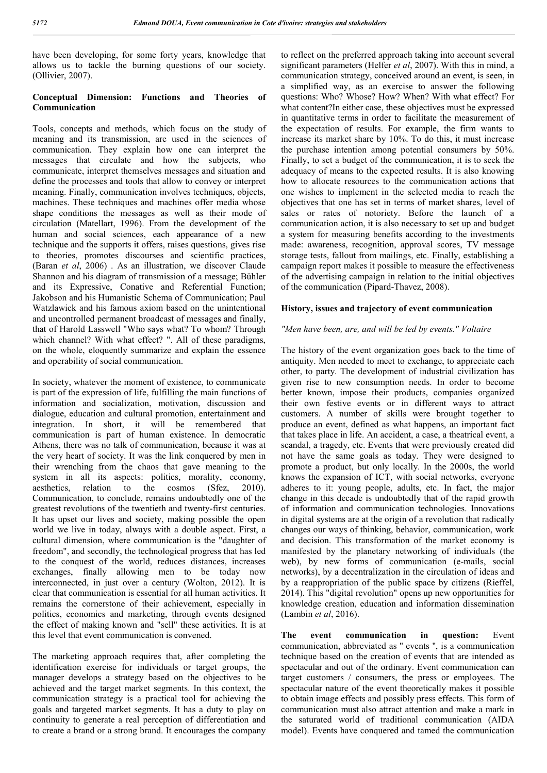have been developing, for some forty years, knowledge that allows us to tackle the burning questions of our society. (Ollivier, 2007).

#### **Conceptual Dimension: Functions and Theories of Communication**

Tools, concepts and methods, which focus on the study of meaning and its transmission, are used in the sciences of communication. They explain how one can interpret the messages that circulate and how the subjects, who communicate, interpret themselves messages and situation and define the processes and tools that allow to convey or interpret meaning. Finally, communication involves techniques, objects, machines. These techniques and machines offer media whose shape conditions the messages as well as their mode of circulation (Matellart, 1996). From the development of the human and social sciences, each appearance of a new technique and the supports it offers, raises questions, gives rise to theories, promotes discourses and scientific practices, (Baran *et al*, 2006) . As an illustration, we discover Claude Shannon and his diagram of transmission of a message; Bühler and its Expressive, Conative and Referential Function; Jakobson and his Humanistic Schema of Communication; Paul Watzlawick and his famous axiom based on the unintentional and uncontrolled permanent broadcast of messages and finally, that of Harold Lasswell "Who says what? To whom? Through which channel? With what effect? ". All of these paradigms, on the whole, eloquently summarize and explain the essence and operability of social communication.

In society, whatever the moment of existence, to communicate is part of the expression of life, fulfilling the main functions of information and socialization, motivation, discussion and dialogue, education and cultural promotion, entertainment and integration. In short, it will be remembered that communication is part of human existence. In democratic Athens, there was no talk of communication, because it was at the very heart of society. It was the link conquered by men in their wrenching from the chaos that gave meaning to the system in all its aspects: politics, morality, economy, aesthetics, relation to the cosmos (Sfez, 2010). Communication, to conclude, remains undoubtedly one of the greatest revolutions of the twentieth and twenty-first centuries. It has upset our lives and society, making possible the open world we live in today, always with a double aspect. First, a cultural dimension, where communication is the "daughter of freedom", and secondly, the technological progress that has led to the conquest of the world, reduces distances, increases exchanges, finally allowing men to be today now interconnected, in just over a century (Wolton, 2012). It is clear that communication is essential for all human activities. It remains the cornerstone of their achievement, especially in politics, economics and marketing, through events designed the effect of making known and "sell" these activities. It is at this level that event communication is convened.

The marketing approach requires that, after completing the identification exercise for individuals or target groups, the manager develops a strategy based on the objectives to be achieved and the target market segments. In this context, the communication strategy is a practical tool for achieving the goals and targeted market segments. It has a duty to play on continuity to generate a real perception of differentiation and to create a brand or a strong brand. It encourages the company

to reflect on the preferred approach taking into account several significant parameters (Helfer *et al*, 2007). With this in mind, a communication strategy, conceived around an event, is seen, in a simplified way, as an exercise to answer the following questions: Who? Whose? How? When? With what effect? For what content?In either case, these objectives must be expressed in quantitative terms in order to facilitate the measurement of the expectation of results. For example, the firm wants to increase its market share by 10%. To do this, it must increase the purchase intention among potential consumers by 50%. Finally, to set a budget of the communication, it is to seek the adequacy of means to the expected results. It is also knowing how to allocate resources to the communication actions that one wishes to implement in the selected media to reach the objectives that one has set in terms of market shares, level of sales or rates of notoriety. Before the launch of a communication action, it is also necessary to set up and budget a system for measuring benefits according to the investments made: awareness, recognition, approval scores, TV message storage tests, fallout from mailings, etc. Finally, establishing a campaign report makes it possible to measure the effectiveness of the advertising campaign in relation to the initial objectives of the communication (Pipard-Thavez, 2008).

#### **History, issues and trajectory of event communication**

#### *"Men have been, are, and will be led by events." Voltaire*

The history of the event organization goes back to the time of antiquity. Men needed to meet to exchange, to appreciate each other, to party. The development of industrial civilization has given rise to new consumption needs. In order to become better known, impose their products, companies organized their own festive events or in different ways to attract customers. A number of skills were brought together to produce an event, defined as what happens, an important fact that takes place in life. An accident, a case, a theatrical event, a scandal, a tragedy, etc. Events that were previously created did not have the same goals as today. They were designed to promote a product, but only locally. In the 2000s, the world knows the expansion of ICT, with social networks, everyone adheres to it: young people, adults, etc. In fact, the major change in this decade is undoubtedly that of the rapid growth of information and communication technologies. Innovations in digital systems are at the origin of a revolution that radically changes our ways of thinking, behavior, communication, work and decision. This transformation of the market economy is manifested by the planetary networking of individuals (the web), by new forms of communication (e-mails, social networks), by a decentralization in the circulation of ideas and by a reappropriation of the public space by citizens (Rieffel, 2014). This "digital revolution" opens up new opportunities for knowledge creation, education and information dissemination (Lambin *et al*, 2016).

**The event communication in question:** Event communication, abbreviated as '' events '', is a communication technique based on the creation of events that are intended as spectacular and out of the ordinary. Event communication can target customers / consumers, the press or employees. The spectacular nature of the event theoretically makes it possible to obtain image effects and possibly press effects. This form of communication must also attract attention and make a mark in the saturated world of traditional communication (AIDA model). Events have conquered and tamed the communication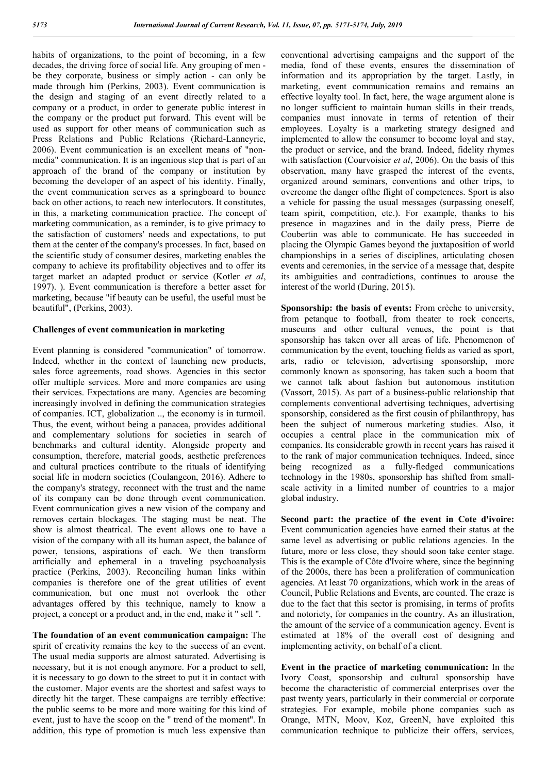habits of organizations, to the point of becoming, in a few decades, the driving force of social life. Any grouping of men be they corporate, business or simply action - can only be made through him (Perkins, 2003). Event communication is the design and staging of an event directly related to a company or a product, in order to generate public interest in the company or the product put forward. This event will be used as support for other means of communication such as Press Relations and Public Relations (Richard-Lanneyrie, 2006). Event communication is an excellent means of "nonmedia" communication. It is an ingenious step that is part of an approach of the brand of the company or institution by becoming the developer of an aspect of his identity. Finally, the event communication serves as a springboard to bounce back on other actions, to reach new interlocutors. It constitutes, in this, a marketing communication practice. The concept of marketing communication, as a reminder, is to give primacy to the satisfaction of customers' needs and expectations, to put them at the center of the company's processes. In fact, based on the scientific study of consumer desires, marketing enables the company to achieve its profitability objectives and to offer its target market an adapted product or service (Kotler *et al*, 1997). ). Event communication is therefore a better asset for marketing, because "if beauty can be useful, the useful must be beautiful", (Perkins, 2003).

#### **Challenges of event communication in marketing**

Event planning is considered "communication" of tomorrow. Indeed, whether in the context of launching new products, sales force agreements, road shows. Agencies in this sector offer multiple services. More and more companies are using their services. Expectations are many. Agencies are becoming increasingly involved in defining the communication strategies of companies. ICT, globalization .., the economy is in turmoil. Thus, the event, without being a panacea, provides additional and complementary solutions for societies in search of benchmarks and cultural identity. Alongside property and consumption, therefore, material goods, aesthetic preferences and cultural practices contribute to the rituals of identifying social life in modern societies (Coulangeon, 2016). Adhere to the company's strategy, reconnect with the trust and the name of its company can be done through event communication. Event communication gives a new vision of the company and removes certain blockages. The staging must be neat. The show is almost theatrical. The event allows one to have a vision of the company with all its human aspect, the balance of power, tensions, aspirations of each. We then transform artificially and ephemeral in a traveling psychoanalysis practice (Perkins, 2003). Reconciling human links within companies is therefore one of the great utilities of event communication, but one must not overlook the other advantages offered by this technique, namely to know a project, a concept or a product and, in the end, make it '' sell ''.

**The foundation of an event communication campaign:** The spirit of creativity remains the key to the success of an event. The usual media supports are almost saturated. Advertising is necessary, but it is not enough anymore. For a product to sell, it is necessary to go down to the street to put it in contact with the customer. Major events are the shortest and safest ways to directly hit the target. These campaigns are terribly effective: the public seems to be more and more waiting for this kind of event, just to have the scoop on the '' trend of the moment''. In addition, this type of promotion is much less expensive than

conventional advertising campaigns and the support of the media, fond of these events, ensures the dissemination of information and its appropriation by the target. Lastly, in marketing, event communication remains and remains an effective loyalty tool. In fact, here, the wage argument alone is no longer sufficient to maintain human skills in their treads, companies must innovate in terms of retention of their employees. Loyalty is a marketing strategy designed and implemented to allow the consumer to become loyal and stay, the product or service, and the brand. Indeed, fidelity rhymes with satisfaction (Courvoisier *et al*, 2006). On the basis of this observation, many have grasped the interest of the events, organized around seminars, conventions and other trips, to overcome the danger ofthe flight of competences. Sport is also a vehicle for passing the usual messages (surpassing oneself, team spirit, competition, etc.). For example, thanks to his presence in magazines and in the daily press, Pierre de Coubertin was able to communicate. He has succeeded in placing the Olympic Games beyond the juxtaposition of world championships in a series of disciplines, articulating chosen events and ceremonies, in the service of a message that, despite its ambiguities and contradictions, continues to arouse the interest of the world (During, 2015).

**Sponsorship: the basis of events:** From crèche to university, from petanque to football, from theater to rock concerts, museums and other cultural venues, the point is that sponsorship has taken over all areas of life. Phenomenon of communication by the event, touching fields as varied as sport, arts, radio or television, advertising sponsorship, more commonly known as sponsoring, has taken such a boom that we cannot talk about fashion but autonomous institution (Vassort, 2015). As part of a business-public relationship that complements conventional advertising techniques, advertising sponsorship, considered as the first cousin of philanthropy, has been the subject of numerous marketing studies. Also, it occupies a central place in the communication mix of companies. Its considerable growth in recent years has raised it to the rank of major communication techniques. Indeed, since being recognized as a fully-fledged communications technology in the 1980s, sponsorship has shifted from smallscale activity in a limited number of countries to a major global industry.

**Second part: the practice of the event in Cote d'ivoire:**  Event communication agencies have earned their status at the same level as advertising or public relations agencies. In the future, more or less close, they should soon take center stage. This is the example of Côte d'Ivoire where, since the beginning of the 2000s, there has been a proliferation of communication agencies. At least 70 organizations, which work in the areas of Council, Public Relations and Events, are counted. The craze is due to the fact that this sector is promising, in terms of profits and notoriety, for companies in the country. As an illustration, the amount of the service of a communication agency. Event is estimated at 18% of the overall cost of designing and implementing activity, on behalf of a client.

**Event in the practice of marketing communication:** In the Ivory Coast, sponsorship and cultural sponsorship have become the characteristic of commercial enterprises over the past twenty years, particularly in their commercial or corporate strategies. For example, mobile phone companies such as Orange, MTN, Moov, Koz, GreenN, have exploited this communication technique to publicize their offers, services,